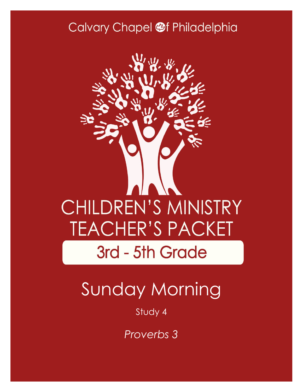### Calvary Chapel @f Philadelphia



# Sunday Morning

### Study 4

*Proverbs 3*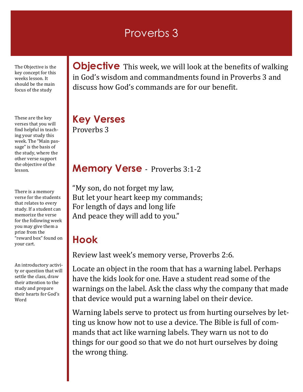### Proverbs 3

The Objective is the key concept for this weeks lesson. It should be the main focus of the study

These are the key verses that you will find helpful in teaching your study this week. The "Main passage" is the basis of the study, where the other verse support the objective of the lesson.

There is a memory verse for the students that relates to every study. If a student can memorize the verse for the following week you may give them a prize from the "reward box" found on your cart.

An introductory activity or question that will settle the class, draw their attention to the study and prepare their hearts for God's Word

**Objective** This week, we will look at the benefits of walking in God's wisdom and commandments found in Proverbs 3 and discuss how God's commands are for our benefit.

**Key Verses** Proverbs 3

### **Memory Verse** - Proverbs 3:1-2

"My son, do not forget my law, But let your heart keep my commands; For length of days and long life And peace they will add to you."

### **Hook**

Review last week's memory verse, Proverbs 2:6.

Locate an object in the room that has a warning label. Perhaps have the kids look for one. Have a student read some of the warnings on the label. Ask the class why the company that made that device would put a warning label on their device.

Warning labels serve to protect us from hurting ourselves by letting us know how not to use a device. The Bible is full of commands that act like warning labels. They warn us not to do things for our good so that we do not hurt ourselves by doing the wrong thing.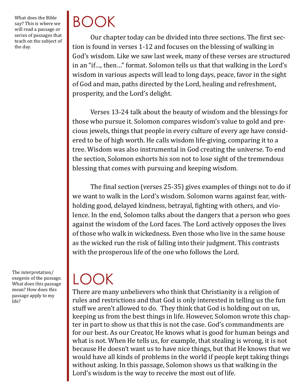What does the Bible say? This is where we will read a passage or series of passages that teach on the subject of the day.

# BOOK

Our chapter today can be divided into three sections. The first section is found in verses 1-12 and focuses on the blessing of walking in God's wisdom. Like we saw last week, many of these verses are structured in an "if…, then…" format. Solomon tells us that that walking in the Lord's wisdom in various aspects will lead to long days, peace, favor in the sight of God and man, paths directed by the Lord, healing and refreshment, prosperity, and the Lord's delight.

Verses 13-24 talk about the beauty of wisdom and the blessings for those who pursue it. Solomon compares wisdom's value to gold and precious jewels, things that people in every culture of every age have considered to be of high worth. He calls wisdom life-giving, comparing it to a tree. Wisdom was also instrumental in God creating the universe. To end the section, Solomon exhorts his son not to lose sight of the tremendous blessing that comes with pursuing and keeping wisdom.

The final section (verses 25-35) gives examples of things not to do if we want to walk in the Lord's wisdom. Solomon warns against fear, withholding good, delayed kindness, betrayal, fighting with others, and violence. In the end, Solomon talks about the dangers that a person who goes against the wisdom of the Lord faces. The Lord actively opposes the lives of those who walk in wickedness. Even those who live in the same house as the wicked run the risk of falling into their judgment. This contrasts with the prosperous life of the one who follows the Lord.

The interpretation/ exegesis of the passage. What does this passage mean? How does this passage apply to my life?

# $\mathsf{L}(\mathsf{C})$

There are many unbelievers who think that Christianity is a religion of rules and restrictions and that God is only interested in telling us the fun stuff we aren't allowed to do. They think that God is holding out on us, keeping us from the best things in life. However, Solomon wrote this chapter in part to show us that this is not the case. God's commandments are for our best. As our Creator, He knows what is good for human beings and what is not. When He tells us, for example, that stealing is wrong, it is not because He doesn't want us to have nice things, but that He knows that we would have all kinds of problems in the world if people kept taking things without asking. In this passage, Solomon shows us that walking in the Lord's wisdom is the way to receive the most out of life.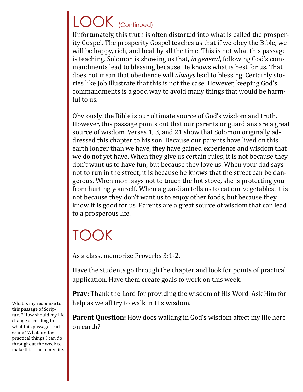# LOOK (Continued)

Unfortunately, this truth is often distorted into what is called the prosperity Gospel. The prosperity Gospel teaches us that if we obey the Bible, we will be happy, rich, and healthy all the time. This is not what this passage is teaching. Solomon is showing us that, *in general*, following God's commandments lead to blessing because He knows what is best for us. That does not mean that obedience will *always* lead to blessing. Certainly stories like Job illustrate that this is not the case. However, keeping God's commandments is a good way to avoid many things that would be harmful to us.

Obviously, the Bible is our ultimate source of God's wisdom and truth. However, this passage points out that our parents or guardians are a great source of wisdom. Verses 1, 3, and 21 show that Solomon originally addressed this chapter to his son. Because our parents have lived on this earth longer than we have, they have gained experience and wisdom that we do not yet have. When they give us certain rules, it is not because they don't want us to have fun, but because they love us. When your dad says not to run in the street, it is because he knows that the street can be dangerous. When mom says not to touch the hot stove, she is protecting you from hurting yourself. When a guardian tells us to eat our vegetables, it is not because they don't want us to enjoy other foods, but because they know it is good for us. Parents are a great source of wisdom that can lead to a prosperous life.

## TOOK

As a class, memorize Proverbs 3:1-2.

Have the students go through the chapter and look for points of practical application. Have them create goals to work on this week.

**Pray:** Thank the Lord for providing the wisdom of His Word. Ask Him for help as we all try to walk in His wisdom.

**Parent Question:** How does walking in God's wisdom affect my life here on earth?

What is my response to this passage of Scripture? How should my life change according to what this passage teaches me? What are the practical things I can do throughout the week to make this true in my life.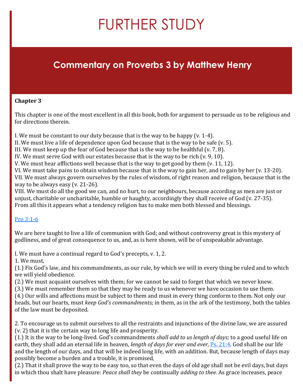## FURTHER STUDY

### **Commentary on Proverbs 3 by Matthew Henry**

#### **Chapter 3**

This chapter is one of the most excellent in all this book, both for argument to persuade us to be religious and for directions therein.

I. We must be constant to our duty because that is the way to be happy (v. 1-4).

II. We must live a life of dependence upon God because that is the way to be safe (v. 5).

III. We must keep up the fear of God because that is the way to be healthful (v. 7, 8).

IV. We must serve God with our estates because that is the way to be rich (v. 9, 10).

V. We must hear afflictions well because that is the way to get good by them (v. 11, 12).

VI. We must take pains to obtain wisdom because that is the way to gain her, and to gain by her (v. 13-20). VII. We must always govern ourselves by the rules of wisdom, of right reason and religion, because that is the way to be always easy (v. 21-26).

VIII. We must do all the good we can, and no hurt, to our neighbours, because according as men are just or unjust, charitable or uncharitable, humble or haughty, accordingly they shall receive of God (v. 27-35). From all this it appears what a tendency religion has to make men both blessed and blessings.

#### [Pro 3:1](https://www.blueletterbible.org/kjv/proverbs/3/1/s_631001)-6

We are here taught to live a life of communion with God; and without controversy great is this mystery of godliness, and of great consequence to us, and, as is here shown, will be of unspeakable advantage.

I. We must have a continual regard to God's precepts, v. 1, 2.

1. We must,

(1.) Fix God's law, and his commandments, as our rule, by which we will in every thing be ruled and to which we will yield obedience.

(2.) We must acquaint ourselves with them; for we cannot be said to forget that which we never knew.

(3.) We must remember them so that they may be ready to us whenever we have occasion to use them.

(4.) Our wills and affections must be subject to them and must in every thing conform to them. Not only our heads, but our hearts, must *keep God's commandments;* in them, as in the ark of the testimony, both the tables of the law must be deposited.

2. To encourage us to submit ourselves to all the restraints and injunctions of the divine law, we are assured (v. 2) that it is the certain way to long life and prosperity.

(1.) It is the way to be long-lived. God's commandments *shall add to us length of days;* to a good useful life on earth, they shall add an eternal life in heaven, *length of days for ever and ever,* [Ps. 21:4.](https://www.blueletterbible.org/kjv/psalms/21/4/s_499004) God shall be our life and the length of our days, and that will be indeed long life, with an addition. But, because length of days may possibly become a burden and a trouble, it is promised,

(2.) That it shall prove the way to be easy too, so that even the days of old age shall not be evil days, but days in which thou shalt have pleasure: *Peace shall they* be continually *adding to thee.* As grace increases, peace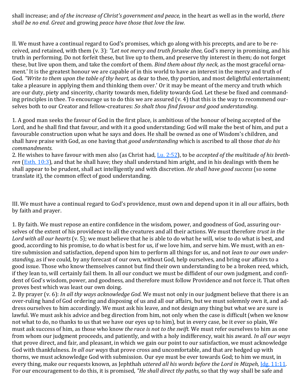shall increase; and *of the increase of Christ's government and peace,* in the heart as well as in the world, *there shall be no end. Great* and growing *peace have those that love the law.*

II. We must have a continual regard to God's promises, which go along with his precepts, and are to be received, and retained, with them (v. 3): *"Let not mercy and truth forsake thee,* God's mercy in promising, and his truth in performing. Do not forfeit these, but live up to them, and preserve thy interest in them; do not forget these, but live upon them, and take the comfort of them. *Bind them about thy neck,* as the most graceful ornament.' It is the greatest honour we are capable of in this world to have an interest in the mercy and truth of God. *"Write to them upon the table of thy heart,* as dear to thee, thy portion, and most delightful entertainment; take a pleasure in applying them and thinking them over.' Or it may be meant of the mercy and truth which are our duty, piety and sincerity, charity towards men, fidelity towards God. Let these be fixed and commanding principles in thee. To encourage us to do this we are assured (v. 4) that this is the way to recommend ourselves both to our Creator and fellow-creatures: *So shalt thou find favour and good understanding.*

1. A good man seeks the favour of God in the first place, is ambitious of the honour of being accepted of the Lord, and he shall find that favour, and with it a good understanding; God will make the best of him, and put a favourable construction upon what he says and does. He shall be owned as one of Wisdom's children, and shall have praise with God, as one having that *good understanding* which is ascribed to all those *that do his commandments.*

2. He wishes to have favour with men also (as Christ had, [Lu. 2:52\)](https://www.blueletterbible.org/kjv/luke/2/52/s_975052), to be *accepted of the multitude of his brethren* ([Esth. 10:3\),](https://www.blueletterbible.org/kjv/esther/10/3/s_436003) and that he shall have; they shall understand him aright, and in his dealings with them he shall appear to be prudent, shall act intelligently and with discretion. *He shall have good success* (so some translate it), the common effect of good understanding.

III. We must have a continual regard to God's providence, must own and depend upon it in all our affairs, both by faith and prayer.

1. By faith. We must repose an entire confidence in the wisdom, power, and goodness of God, assuring ourselves of the extent of his providence to all the creatures and all their actions. We must therefore *trust in the Lord with all our hearts* (v. 5); we must believe that he is able to do what he will, wise to do what is best, and good, according to his promise, to do what is best for us, if we love him, and serve him. We must, with an entire submission and satisfaction, depend upon him to perform all things for us, and not *lean to our own understanding,* as if we could, by any forecast of our own, without God, help ourselves, and bring our affairs to a good issue. Those who know themselves cannot but find their own understanding to be a broken reed, which, if they lean to, will certainly fail them. In all our conduct we must be diffident of our own judgment, and confident of God's wisdom, power, and goodness, and therefore must follow Providence and not force it. That often proves best which was least our own doing.

2. By prayer (v. 6): *In all thy ways acknowledge God.* We must not only in our judgment believe that there is an over-ruling hand of God ordering and disposing of us and all our affairs, but we must solemnly own it, and address ourselves to him accordingly. We must ask his leave, and not design any thing but what we are sure is lawful. We must ask his advice and beg direction from him, not only when the case is difficult (when we know not what to do, no thanks to us that we have our eyes up to him), but in every case, be it ever so plain, We must ask success of him, as those who know *the race is not to the swift.* We must refer ourselves to him as one from whom our judgment proceeds, and patiently, and with a holy indifferency, wait his award. *In all our ways* that prove direct, and fair, and pleasant, in which we gain our point to our satisfaction, we must acknowledge God with thankfulness. *In all our ways* that prove cross and uncomfortable, and that are hedged up with thorns, we must acknowledge God with submission. Our eye must be ever towards God; to him we must, in every thing, make our requests known, as Jephthah *uttered all his words before the Lord in Mizpeh,* [Jdg. 11:11.](https://www.blueletterbible.org/kjv/judges/11/11/s_222011)  For our encouragement to do this, it is promised, *"He shall direct thy paths,* so that thy way shall be safe and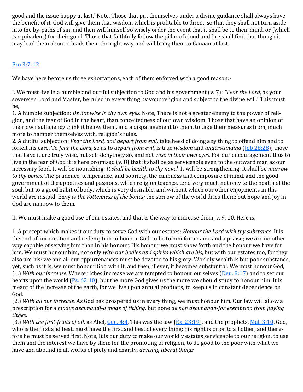good and the issue happy at last.' Note, Those that put themselves under a divine guidance shall always have the benefit of it. God will give them that wisdom which is profitable to direct, so that they shall not turn aside into the by-paths of sin, and then will himself so wisely order the event that it shall be to their mind, or (which is equivalent) for their good. Those that faithfully follow the pillar of cloud and fire shall find that though it may lead them about it leads them the right way and will bring them to Canaan at last.

#### [Pro 3:7](https://www.blueletterbible.org/kjv/proverbs/3/7/s_631007)-12

We have here before us three exhortations, each of them enforced with a good reason:-

I. We must live in a humble and dutiful subjection to God and his government (v. 7): *"Fear the Lord,* as your sovereign Lord and Master; be ruled in every thing by your religion and subject to the divine will.' This must be,

1. A humble subjection: *Be not wise in thy own eyes.* Note, There is not a greater enemy to the power of religion, and the fear of God in the heart, than conceitedness of our own wisdom. Those that have an opinion of their own sufficiency think it below them, and a disparagement to them, to take their measures from, much more to hamper themselves with, religion's rules.

2. A dutiful subjection: *Fear the Lord, and depart from evil;* take heed of doing any thing to offend him and to forfeit his care. To *fear the Lord,* so as to *depart from evil,* is true *wisdom* and *understanding* [\(Job 28:28\)](https://www.blueletterbible.org/kjv/job/28/28/s_464028); those that have it are truly wise, but self-denyingly so, and not *wise in their own eyes.* For our encouragement thus to live in the fear of God it is here promised (v. 8) that it shall be as serviceable even to the outward man as our necessary food. It will be nourishing: *It shall be health to thy navel.* It will be strengthening: It shall be *marrow to thy bones.* The prudence, temperance, and sobriety, the calmness and composure of mind, and the good government of the appetites and passions, which religion teaches, tend very much not only to the health of the soul, but to a good habit of body, which is very desirable, and without which our other enjoyments in this world are insipid. Envy is *the rottenness of the bones;* the sorrow of the world dries them; but hope and joy in God are marrow to them.

II. We must make a good use of our estates, and that is the way to increase them, v. 9, 10. Here is,

1. A precept which makes it our duty to serve God with our estates: *Honour the Lord with thy substance.* It is the end of our creation and redemption to honour God, to be to him for a name and a praise; we are no other way capable of serving him than in his honour. His honour we must show forth and the honour we have for him. We must honour him, not only *with our bodies and spirits which are his,* but with our estates too, for they also are his: we and all our appurtenances must be devoted to his glory. Worldly wealth is but poor substance, yet, such as it is, we must honour God with it, and then, if ever, it becomes substantial. We must honour God, (1.) *With our increase.* Where riches increase we are tempted to honour ourselves ([Deu. 8:17\)](https://www.blueletterbible.org/kjv/deuteronomy/8/17/s_161017) and to set our hearts upon the world ([Ps. 62:10\);](https://www.blueletterbible.org/kjv/psalms/62/10/s_540010) but the more God gives us the more we should study to honour him. It is meant of the increase of the earth, for we live upon annual products, to keep us in constant dependence on God.

(2.) *With all our increase.* As God has prospered us in every thing, we must honour him. Our law will allow a prescription for a *modus decimandi-a mode of tithing,* but none *de non decimando-for exemption from paying tithes.*

(3.) *With the first-fruits of all,* as Abel, [Gen. 4:4.](https://www.blueletterbible.org/kjv/genesis/4/4/s_4004) This was the law ([Ex. 23:19\)](https://www.blueletterbible.org/kjv/exodus/23/19/s_73019), and the prophets, [Mal. 3:10.](https://www.blueletterbible.org/kjv/malachi/3/10/s_928010) God, who is the first and best, must have the first and best of every thing; his right is prior to all other, and therefore he must be served first. Note, It is our duty to make our worldly estates serviceable to our religion, to use them and the interest we have by them for the promoting of religion, to do good to the poor with what we have and abound in all works of piety and charity, *devising liberal things.*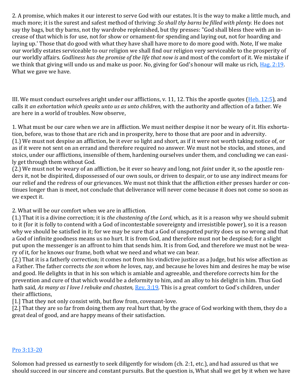2. A promise, which makes it our interest to serve God with our estates. It is the way to make a little much, and much more; it is the surest and safest method of thriving: *So shall thy barns be filled with plenty.* He does not say thy bags, but thy barns, not thy wardrobe replenished, but thy presses: "God shall bless thee with an increase of that which is for use, not for show or ornament-for spending and laying out, not for hoarding and laying up.' Those that do good with what they have shall have more to do more good with. Note, If we make our worldly estates serviceable to our religion we shall find our religion very serviceable to the prosperity of our worldly affairs. *Godliness has the promise of the life that now is* and most of the comfort of it. We mistake if we think that giving will undo us and make us poor. No, giving for God's honour will make us rich, [Hag. 2:19.](https://www.blueletterbible.org/kjv/haggai/2/19/s_911019) What we gave we have.

III. We must conduct ourselves aright under our afflictions, v. 11, 12. This the apostle quotes ([Heb. 12:5\)](https://www.blueletterbible.org/kjv/hebrews/12/5/s_1145005), and calls it *an exhortation which speaks unto us as unto children,* with the authority and affection of a father. We are here in a world of troubles. Now observe,

1. What must be our care when we are in affliction. We must neither despise it nor be weary of it. His exhortation, before, was to those that are rich and in prosperity, here to those that are poor and in adversity.

(1.) We must not despise an affliction, be it ever so light and short, as if it were not worth taking notice of, or as if it were not sent on an errand and therefore required no answer. We must not be stocks, and stones, and stoics, under our afflictions, insensible of them, hardening ourselves under them, and concluding we can easily get through them without God.

(2.) We must not be weary of an affliction, be it ever so heavy and long, not *faint* under it, so the apostle renders it, not be dispirited, dispossessed of our own souls, or driven to despair, or to use any indirect means for our relief and the redress of our grievances. We must not think that the affliction either presses harder or continues longer than is meet, not conclude that deliverance will never come because it does not come so soon as we expect it.

2. What will be our comfort when we are in affliction.

(1.) That it is a divine correction; it is *the chastening of the Lord,* which, as it is a reason why we should submit to it (for it is folly to contend with a God of incontestable sovereignty and irresistible power), so it is a reason why we should be satisfied in it; for we may be sure that a God of unspotted purity does us no wrong and that a God of infinite goodness means us no hurt. It is from God, and therefore must not be despised; for a slight put upon the messenger is an affront to him that sends him. It is from God, and therefore we must not be weary of it, for he knows our frame, both what we need and what we can bear.

(2.) That it is a fatherly correction; it comes not from his vindictive justice as a Judge, but his wise affection as a Father. The father corrects *the son whom he* loves, nay, and because he loves him and desires he may be wise and good. He delights in that in his son which is amiable and agreeable, and therefore corrects him for the prevention and cure of that which would be a deformity to him, and an alloy to his delight in him. Thus God hath said, *As many as I love I rebuke and chasten,* [Rev. 3:19.](https://www.blueletterbible.org/kjv/revelation/3/19/s_1170019) This is a great comfort to God's children, under their afflictions,

[1.] That they not only consist with, but flow from, covenant-love.

[2.] That they are so far from doing them any real hurt that, by the grace of God working with them, they do a great deal of good, and are happy means of their satisfaction.

#### [Pro 3:13](https://www.blueletterbible.org/kjv/proverbs/3/13/s_631013)-20

Solomon had pressed us earnestly to seek diligently for wisdom (ch. 2:1, etc.), and had assured us that we should succeed in our sincere and constant pursuits. But the question is, What shall we get by it when we have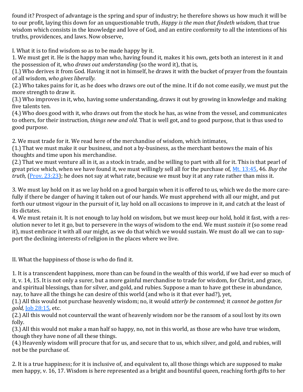found it? Prospect of advantage is the spring and spur of industry; he therefore shows us how much it will be to our profit, laying this down for an unquestionable truth, *Happy is the man that findeth wisdom,* that true wisdom which consists in the knowledge and love of God, and an entire conformity to all the intentions of his truths, providences, and laws. Now observe,

I. What it is to find wisdom so as to be made happy by it.

1. We must get it. He is the happy man who, having found it, makes it his own, gets both an interest in it and the possession of it, who *draws out understanding* (so the word it), that is,

(1.) Who derives it from God. Having it not in himself, he draws it with the bucket of prayer from the fountain of all wisdom, *who gives liberally.*

(2.) Who takes pains for it, as he does who draws ore out of the mine. It if do not come easily, we must put the more strength to draw it.

(3.) Who improves in it, who, having some understanding, draws it out by growing in knowledge and making five talents ten.

(4.) Who does good with it, who draws out from the stock he has, as wine from the vessel, and communicates to others, for their instruction, *things new and old.* That is well got, and to good purpose, that is thus used to good purpose.

2. We must trade for it. We read here of the merchandise of wisdom, which intimates,

(1.) That we must make it our business, and not a by-business, as the merchant bestows the main of his thoughts and time upon his merchandise.

(2.) That we must venture all in it, as a stock in trade, and be willing to part with all for it. This is that pearl of great price which, when we have found it, we must willingly sell all for the purchase of, [Mt. 13:45,](https://www.blueletterbible.org/kjv/matthew/13/45/s_942045) 46. *Buy the truth*, (*Prov.* 23:23); he does not say at what rate, because we must buy it at any rate rather than miss it.

3. We must lay hold on it as we lay hold on a good bargain when it is offered to us, which we do the more carefully if there be danger of having it taken out of our hands. We must apprehend with all our might, and put forth our utmost vigour in the pursuit of it, lay hold on all occasions to improve in it, and catch at the least of its dictates.

4. We must retain it. It is not enough to lay hold on wisdom, but we must keep our hold, hold it fast, with a resolution never to let it go, but to persevere in the ways of wisdom to the end. We must *sustain it* (so some read it), must embrace it with all our might, as we do that which we would sustain. We must do all we can to support the declining interests of religion in the places where we live.

II. What the happiness of those is who do find it.

1. It is a transcendent happiness, more than can be found in the wealth of this world, if we had ever so much of it, v. 14, 15. It is not only a surer, but a more gainful merchandise to trade for wisdom, for Christ, and grace, and spiritual blessings, than for silver, and gold, and rubies. Suppose a man to have got these in abundance, nay, to have all the things he can desire of this world (and who is it that ever had?), yet,

(1.) All this would not purchase heavenly wisdom; no, it would *utterly be contemned;* it *cannot be gotten for gold,* [Job 28:15,](https://www.blueletterbible.org/kjv/job/28/15/s_464015) etc.

(2.) All this would not countervail the want of heavenly wisdom nor be the ransom of a soul lost by its own folly.

(3.) All this would not make a man half so happy, no, not in this world, as those are who have true wisdom, though they have none of all these things.

(4.) Heavenly wisdom will procure that for us, and secure that to us, which silver, and gold, and rubies, will not be the purchase of.

2. It is a true happiness; for it is inclusive of, and equivalent to, all those things which are supposed to make men happy, v. 16, 17. Wisdom is here represented as a bright and bountiful queen, reaching forth gifts to her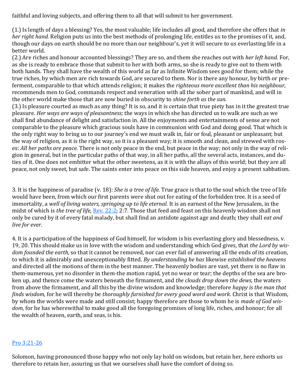faithful and loving subjects, and offering them to all that will submit to her government.

(1.) Is length of days a blessing? Yes, the most valuable; life includes all good, and therefore she offers that *in her right hand.* Religion puts us into the best methods of prolonging life, entitles us to the promises of it, and, though our days on earth should be no more than our neighbour's, yet it will secure to us everlasting life in a better world.

(2.) Are riches and honour accounted blessings? They are so, and them she reaches out with *her left hand.* For, as she is ready to embrace those that submit to her with both arms, so she is ready to give out to them with both hands. They shall have the wealth of this world as far as Infinite Wisdom sees good for them; while the true riches, by which men are rich towards God, are secured to them. Nor is there any honour, by birth or preferment, comparable to that which attends religion; it makes the *righteous more excellent than his neighbour,* recommends men to God, commands respect and veneration with all the sober part of mankind, and will in the other world make those that are now buried in obscurity to *shine forth as the sun.*

(3.) Is pleasure courted as much as any thing? It is so, and it is certain that true piety has in it the greatest true pleasure. *Her ways are ways of pleasantness;* the ways in which she has directed us to walk are such as we shall find abundance of delight and satisfaction in. All the enjoyments and entertainments of sense are not comparable to the pleasure which gracious souls have in communion with God and doing good. That which is the only right way to bring us to our journey's end we must walk in, fair or foul, pleasant or unpleasant; but the way of religion, as it is the right way, so it is a pleasant way; it is smooth and clean, and strewed with roses: *All her paths are peace.* There is not only peace in the end, but peace in the way; not only in the way of religion in general, but in the particular paths of that way, in all her paths, all the several acts, instances, and duties of it. One does not embitter what the other sweetens, as it is with the allays of this world; but they are all peace, not only sweet, but safe. The saints enter into peace on this side heaven, and enjoy a present sabbatism.

3. It is the happiness of paradise (v. 18): *She is a tree of life.* True grace is that to the soul which the tree of life would have been, from which our first parents were shut out for eating of the forbidden tree. It is a seed of immortality, a *well of living waters, springing up to life eternal.* It is an earnest of the New Jerusalem, in the midst of which is *the tree of life,* [Rev. 22:2;](https://www.blueletterbible.org/kjv/revelation/22/2/s_1189002) 2:7. Those that feed and feast on this heavenly wisdom shall not only be cured by it of every fatal malady, but shall find an antidote against age and death; they shall *eat and live for ever.*

4. It is a participation of the happiness of God himself, for wisdom is his everlasting glory and blessedness, v. 19, 20. This should make us in love with the wisdom and understanding which God gives, that *the Lord by wisdom founded the earth,* so that it cannot be removed, nor can ever fail of answering all the ends of its creation, to which it is admirably and unexceptionably fitted. *By understanding he has* likewise *established the heavens* and directed all the motions of them in the best manner. The heavenly bodies are vast, yet there is no flaw in them-numerous, yet no disorder in them-the motion rapid, yet no wear or tear; the depths of the sea are broken up, and thence come the waters beneath the firmament, and *the clouds drop down the dews,* the waters from above the firmament, and all this by the divine wisdom and knowledge; therefore *happy is the man that finds wisdom,* for he will thereby be *thoroughly furnished for every good word and work.* Christ is that Wisdom, by whom the worlds were made and still consist; happy therefore are those to whom he is *made of God wisdom,* for he has wherewithal to make good all the foregoing promises of long life, riches, and honour; for all the wealth of heaven, earth, and seas, is his.

#### [Pro 3:21](https://www.blueletterbible.org/kjv/proverbs/3/21/s_631021)-26

Solomon, having pronounced those happy who not only lay hold on wisdom, but retain her, here exhorts us therefore to retain her, assuring us that we ourselves shall have the comfort of doing so.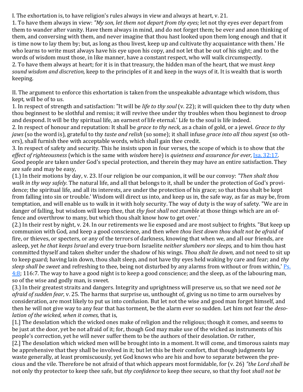I. The exhortation is, to have religion's rules always in view and always at heart, v. 21.

1. To have them always in view: *"My son, let them not depart from thy eyes;* let not thy eyes ever depart from them to wander after vanity. Have them always in mind, and do not forget them; be ever and anon thinking of them, and conversing with them, and never imagine that thou hast looked upon them long enough and that it is time now to lay them by; but, as long as thou livest, keep up and cultivate thy acquaintance with them.' He who learns to write must always have his eye upon his copy, and not let that be out of his sight; and to the words of wisdom must those, in like manner, have a constant respect, who will walk circumspectly. 2. To have them always at heart; for it is in that treasury, the hidden man of the heart, that we must *keep sound wisdom and discretion,* keep to the principles of it and keep in the ways of it. It is wealth that is worth keeping.

II. The argument to enforce this exhortation is taken from the unspeakable advantage which wisdom, thus kept, will be of to us.

1. In respect of strength and satisfaction: "It will be *life to thy soul* (v. 22); it will quicken thee to thy duty when thou beginnest to be slothful and remiss; it will revive thee under thy troubles when thou beginnest to droop and despond. It will be thy spiritual life, an earnest of life eternal.' Life to the soul is life indeed.

2. In respect of honour and reputation: It shall be *grace to thy neck,* as a chain of gold, or a jewel. *Grace to thy jaws* (so the word is), grateful to thy *taste and relish* (so some); it shall infuse *grace into all thou sayest* (so others), shall furnish thee with acceptable words, which shall gain thee credit.

3. In respect of safety and security. This he insists upon in four verses, the scope of which is to show that *the effect of righteousness* (which is the same with *wisdom* here) is *quietness and assurance for ever,* [Isa. 32:17.](https://www.blueletterbible.org/kjv/isaiah/32/17/s_711017) Good people are taken under God's special protection, and therein they may have an entire satisfaction. They are safe and may be easy,

(1.) In their motions by day, v. 23. If our religion be our companion, it will be our convoy: *"Then shalt thou walk in thy way safely.* The natural life, and all that belongs to it, shall be under the protection of God's providence; the spiritual life, and all its interests, are under the protection of his grace; so that thou shalt be kept from falling into sin or trouble.' Wisdom will direct us into, and keep us in, the safe way, as far as may be, from temptation, and will enable us to walk in it with holy security. The way of duty is the way of safety. "We are in danger of falling, but wisdom will keep thee, that *thy foot shall not stumble* at those things which are an offence and overthrow to many, but which thou shalt know how to get over.'

(2.) In their rest by night, v. 24. In our retirements we lie exposed and are most subject to frights. "But keep up communion with God, and keep a good conscience, and then *when thou liest down thou shalt not be afraid* of fire, or thieves, or specters, or any of the terrors of darkness, knowing that when we, and all our friends, are asleep, yet *he that keeps Israel* and every true-born Israelite *neither slumbers nor sleeps,* and to him thou hast committed thyself and taken shelter under the shadow of his wings. *Thou shalt lie down,* and not need to sit up to keep guard; having lain down, thou shalt sleep, and not have thy eyes held waking by care and fear; and *thy sleep shall be sweet* and refreshing to thee, being not disturbed by any alarms from without or from within,' [Ps.](https://www.blueletterbible.org/kjv/psalms/4/8/s_482008)  [4:8;](https://www.blueletterbible.org/kjv/psalms/4/8/s_482008) 116:7. The way to have a good night is to keep a good conscience; and the sleep, as of the labouring man, so of the wise and godly man, is sweet.

(3.) In their greatest straits and dangers. Integrity and uprightness will preserve us, so that we need *not be afraid of sudden fear,* v. 25. The harms that surprise us, unthought of, giving us no time to arm ourselves by consideration, are most likely to put us into confusion. But let not the wise and good man forget himself, and then he will not give way to any fear that has torment, be the alarm ever so sudden. Let him not fear the *desolation of the wicked, when it comes,* that is,

[1.] The desolation which the wicked ones make of religion and the religious; though it comes, and seems to be just at the door, yet be not afraid of it; for, though God may make use of the wicked as instruments of his people's correction, yet he will never suffer them to be the authors of their desolation. Or rather, [2.] The desolation which wicked men will be brought into in a moment. It will come, and timorous saints may be apprehensive that they shall be involved in it; but let this be their comfort, that though judgments lay waste generally, at least promiscuously, yet God knows who are his and how to separate between the precious and the vile. Therefore be not afraid of that which appears most formidable, for (v. 26) *"the Lord shall be* not only thy protector to keep thee safe, but *thy confidence* to keep thee secure, so that thy foot *shall not be*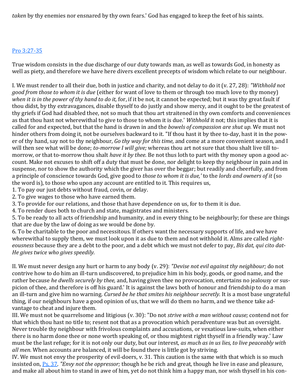*taken* by thy enemies nor ensnared by thy own fears.' God has engaged to keep the feet of his saints.

#### [Pro 3:27](https://www.blueletterbible.org/kjv/proverbs/3/27/s_631027)-35

True wisdom consists in the due discharge of our duty towards man, as well as towards God, in honesty as well as piety, and therefore we have here divers excellent precepts of wisdom which relate to our neighbour.

I. We must render to all their due, both in justice and charity, and not delay to do it (v. 27, 28): *"Withhold not good from those to whom it is due* (either for want of love to them or through too much love to thy money) *when it is in the power of thy hand to do it,* for, if it be not, it cannot be expected; but it was thy great fault if thou didst, by thy extravagances, disable thyself to do justly and show mercy, and it ought to be the greatest of thy griefs if God had disabled thee, not so much that thou art straitened in thy own comforts and conveniences as that thou hast not wherewithal to give to those to whom it is due.' *Withhold* it not; this implies that it is called for and expected, but that the hand is drawn in and the *bowels of compassion are shut up.* We must not hinder others from doing it, not be ourselves backward to it. "If thou hast it by thee to-day, hast it in the power of thy hand, say not to thy neighbour, *Go thy way for this time,* and come at a more convenient season, and I will then see what will be done; *to-morrow I will give;* whereas thou art not sure that thou shalt live till tomorrow, or that to-morrow thou shalt *have it by thee.* Be not thus loth to part with thy money upon a good account. Make not excuses to shift off a duty that must be done, nor delight to keep thy neighbour in pain and in suspense, nor to show the authority which the giver has over the beggar; but readily and cheerfully, and from a principle of conscience towards God, give good to *those to whom it is due,'* to the *lords and owners of it* (so the word is), to those who upon any account are entitled to it. This requires us,

- 1. To pay our just debts without fraud, covin, or delay.
- 2. To give wages to those who have earned them.
- 3. To provide for our relations, and those that have dependence on us, for to them it is due.
- 4. To render dues both to church and state, magistrates and ministers.

5. To be ready to all acts of friendship and humanity, and in every thing to be neighbourly; for these are things that are due by the law of doing as we would be done by.

6. To be charitable to the poor and necessitous. If others want the necessary supports of life, and we have wherewithal to supply them, we must look upon it as due to them and not withhold it. Alms are called *righteousness* because they are a debt to the poor, and a debt which we must not defer to pay, *Bis dat, qui cito dat*-*He gives twice who gives speedily.*

II. We must never design any hurt or harm to any body (v. 29): *"Devise not evil against thy neighbour;* do not contrive how to do him an ill-turn undiscovered, to prejudice him in his body, goods, or good name, and the rather because *he dwells securely by thee,* and, having given thee no provocation, entertains no jealousy or suspicion of thee, and therefore is off his guard.' It is against the laws both of honour and friendship to do a man an ill-turn and give him no warning. *Cursed be he that smites his neighbour secretly.* It is a most base ungrateful thing, if our neighbours have a good opinion of us, that we will do them no harm, and we thence take advantage to cheat and injure them.

III. We must not be quarrelsome and litigious (v. 30): "Do not *strive with a man without cause;* contend not for that which thou hast no title to; resent not that as a provocation which peradventure was but an oversight. Never trouble thy neighbour with frivolous complaints and accusations, or vexatious law-suits, when either there is no harm done thee or none worth speaking of, or thou mightest right thyself in a friendly way.' Law must be the last refuge; for it is not only our duty, but our interest, *as much as in us lies, to live peaceably with all men.* When accounts are balanced, it will be found there is little got by striving.

IV. We must not envy the prosperity of evil-doers, v. 31. This caution is the same with that which is so much insisted on, [Ps. 37.](https://www.blueletterbible.org/kjv/psalms/37/1-40/s_515001) *"Envy not the oppressor;* though he be rich and great, though he live in ease and pleasure, and make all about him to stand in awe of him, yet do not think him a happy man, nor wish thyself in his con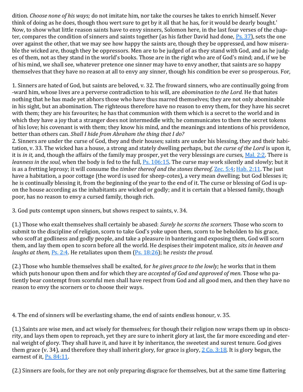dition. *Choose none of his ways;* do not imitate him, nor take the courses he takes to enrich himself. Never think of doing as he does, though thou wert sure to get by it all that he has, for it would be dearly bought.' Now, to show what little reason saints have to envy sinners, Solomon here, in the last four verses of the chapter, compares the condition of sinners and saints together (as his father David had done, [Ps. 37\),](https://www.blueletterbible.org/kjv/psalms/37/1-40/s_515001) sets the one over against the other, that we may see how happy the saints are, though they be oppressed, and how miserable the wicked are, though they be oppressors. Men are to be judged of as they stand with God, and as he judges of them, not as they stand in the world's books. Those are in the right who are of God's mind; and, if we be of his mind, we shall see, whatever pretence one sinner may have to envy another, that saints are so happy themselves that they have no reason at all to envy any sinner, though his condition be ever so prosperous. For,

1. Sinners are hated of God, but saints are beloved, v. 32. The froward sinners, who are continually going from -ward him, whose lives are a perverse contradiction to his will, are *abomination to the Lord.* He that hates nothing that he has made yet abhors those who have thus marred themselves; they are not only abominable in his sight, but an abomination. The righteous therefore have no reason to envy them, for they have his secret with them; they are his favourites; he has that communion with them which is a secret to the world and in which they have a joy that a stranger does not intermeddle with; he communicates to them the secret tokens of his love; his covenant is with them; they know his mind, and the meanings and intentions of his providence, better than others can. *Shall I hide from Abraham the thing that I do?*

2. Sinners are under the curse of God, they and their houses; saints are under his blessing, they and their habitation, v. 33. The wicked has a house, a strong and stately dwelling perhaps, but *the curse of the Lord* is upon it, it is *in it,* and, though the affairs of the family may prosper, yet the very blessings are curses, [Mal. 2:2.](https://www.blueletterbible.org/kjv/malachi/2/2/s_927002) There is *leanness in the soul,* when the body is fed to the full, **Ps. 106:15**. The curse may work silently and slowly; but it is as a fretting leprosy; it will consume the *timber thereof and the stones thereof,* [Zec. 5:4;](https://www.blueletterbible.org/kjv/zechariah/5/4/s_916004) [Hab. 2:11.](https://www.blueletterbible.org/kjv/habakkuk/2/11/s_905011) The just have a habitation, a poor cottage (the word is used for sheep-cotes), a very mean dwelling; but God blesses it; he is continually blessing it, from the beginning of the year to the end of it. The curse or blessing of God is upon the house according as the inhabitants are wicked or godly; and it is certain that a blessed family, though poor, has no reason to envy a cursed family, though rich.

3. God puts contempt upon sinners, but shows respect to saints, v. 34.

(1.) Those who exalt themselves shall certainly be abased: *Surely he scorns the scorners.* Those who scorn to submit to the discipline of religion, scorn to take God's yoke upon them, scorn to be beholden to his grace, who scoff at godliness and godly people, and take a pleasure in bantering and exposing them, God will scorn them, and lay them open to scorn before all the world. He despises their impotent malice, *sits in heaven and laughs at them,* [Ps. 2:4.](https://www.blueletterbible.org/kjv/psalms/2/4/s_480004) He retaliates upon them ([Ps. 18:26\)](https://www.blueletterbible.org/kjv/psalms/18/26/s_496026); he *resists the proud.* 

(2.) Those who humble themselves shall be exalted, for *he gives grace to the lowly;* he works that in them which puts honour upon them and for which they are *accepted of God and approved of men.* Those who patiently bear contempt from scornful men shall have respect from God and all good men, and then they have no reason to envy the scorners or to choose their ways.

4. The end of sinners will be everlasting shame, the end of saints endless honour, v. 35.

(1.) Saints are wise men, and act wisely for themselves; for though their religion now wraps them up in obscurity, and lays them open to reproach, yet they are sure to inherit glory at last, the far more exceeding and eternal weight of glory. They shall have it, and have it by inheritance, the sweetest and surest tenure. God gives them grace (v. 34), and therefore they shall inherit glory, for grace is glory,  $2 \text{ Co. } 3:18$ . It is glory begun, the earnest of it, [Ps. 84:11.](https://www.blueletterbible.org/kjv/psalms/84/11/s_562011)

(2.) Sinners are fools, for they are not only preparing disgrace for themselves, but at the same time flattering